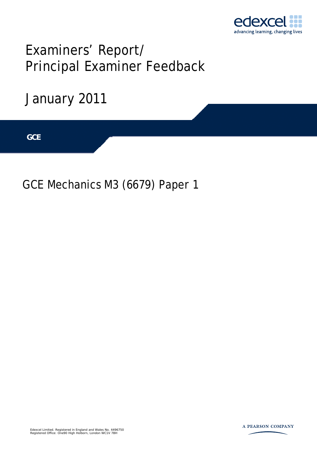

# Examiners' Report/ Principal Examiner Feedback

January 2011

**IGCSE GCE** 

GCE Mechanics M3 (6679) Paper 1



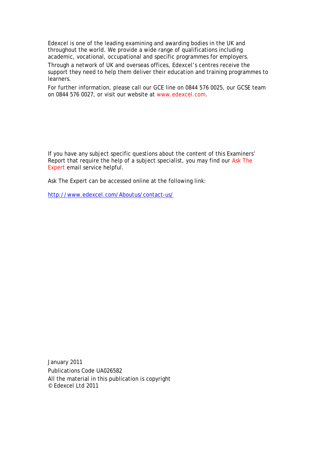Edexcel is one of the leading examining and awarding bodies in the UK and throughout the world. We provide a wide range of qualifications including academic, vocational, occupational and specific programmes for employers. Through a network of UK and overseas offices, Edexcel's centres receive the support they need to help them deliver their education and training programmes to learners.

For further information, please call our GCE line on 0844 576 0025, our GCSE team on 0844 576 0027, or visit our website at www.edexcel.com.

If you have any subject specific questions about the content of this Examiners' Report that require the help of a subject specialist, you may find our Ask The Expert email service helpful.

Ask The Expert can be accessed online at the following link:

http://www.edexcel.com/Aboutus/contact-us/

January 2011 Publications Code UA026582 All the material in this publication is copyright © Edexcel Ltd 2011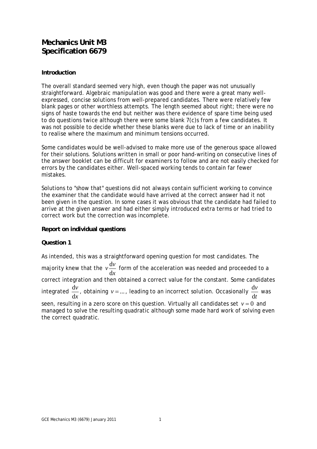# **Mechanics Unit M3 Specification 6679**

#### **Introduction**

The overall standard seemed very high, even though the paper was not unusually straightforward. Algebraic manipulation was good and there were a great many wellexpressed, concise solutions from well-prepared candidates. There were relatively few blank pages or other worthless attempts. The length seemed about right; there were no signs of haste towards the end but neither was there evidence of spare time being used to do questions twice although there were some blank 7(c)s from a few candidates. It was not possible to decide whether these blanks were due to lack of time or an inability to realise where the maximum and minimum tensions occurred.

Some candidates would be well-advised to make more use of the generous space allowed for their solutions. Solutions written in small or poor hand-writing on consecutive lines of the answer booklet can be difficult for examiners to follow and are not easily checked for errors by the candidates either. Well-spaced working tends to contain far fewer mistakes.

Solutions to "show that" questions did not always contain sufficient working to convince the examiner that the candidate would have arrived at the correct answer had it not been given in the question. In some cases it was obvious that the candidate had failed to arrive at the given answer and had either simply introduced extra terms or had tried to correct work but the correction was incomplete.

#### **Report on individual questions**

#### **Question 1**

As intended, this was a straightforward opening question for most candidates. The majority knew that the  $v\frac{d}{d}$ d  $v \frac{dv}{dt}$ *x* form of the acceleration was needed and proceeded to a correct integration and then obtained a correct value for the constant. Some candidates integrated  $\frac{d}{dx}$ d *v x* , obtaining  $v = ...$ , leading to an incorrect solution. Occasionally  $\frac{d}{dx}$ d *v t* was seen, resulting in a zero score on this question. Virtually all candidates set  $v = 0$  and managed to solve the resulting quadratic although some made hard work of solving even the correct quadratic.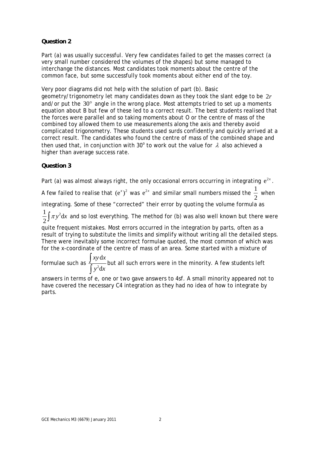# **Question 2**

Part (a) was usually successful. Very few candidates failed to get the masses correct (a very small number considered the volumes of the shapes) but some managed to interchange the distances. Most candidates took moments about the centre of the common face, but some successfully took moments about either end of the toy.

Very poor diagrams did not help with the solution of part (b). Basic geometry/trigonometry let many candidates down as they took the slant edge to be 2*r* and/or put the  $30^{\circ}$  angle in the wrong place. Most attempts tried to set up a moments equation about *B* but few of these led to a correct result. The best students realised that the forces were parallel and so taking moments about *O* or the centre of mass of the combined toy allowed them to use measurements along the axis and thereby avoid complicated trigonometry. These students used surds confidently and quickly arrived at a correct result. The candidates who found the centre of mass of the combined shape and then used that, in conjunction with 30° to work out the value for  $\lambda$  also achieved a higher than average success rate.

# **Question 3**

Part (a) was almost always right, the only occasional errors occurring in integrating  $e^{2x}$ .

A few failed to realise that  $\left( e^x \right)^2$  was  $e^{2x}$  and similar small numbers missed the  $\frac{1}{\epsilon}$ 2 when

integrating. Some of these "corrected" their error by quoting the volume formula as

 $\frac{1}{\pi} \int \pi y^2 dx$  $\frac{1}{2} \int \pi y^2 dx$  and so lost everything. The method for (b) was also well known but there were

quite frequent mistakes. Most errors occurred in the integration by parts, often as a result of trying to substitute the limits and simplify without writing all the detailed steps. There were inevitably some incorrect formulae quoted, the most common of which was for the *x*-coordinate of the centre of mass of an area. Some started with a mixture of

formulae such as  $\frac{J}{\int x^2}$ d d *xy x*  $y^2dx$ ∫  $\int y^2 dx$  but all such errors were in the minority. A few students left  $\int y^2 dx$ 

answers in terms of e, one or two gave answers to 4sf. A small minority appeared not to have covered the necessary C4 integration as they had no idea of how to integrate by parts.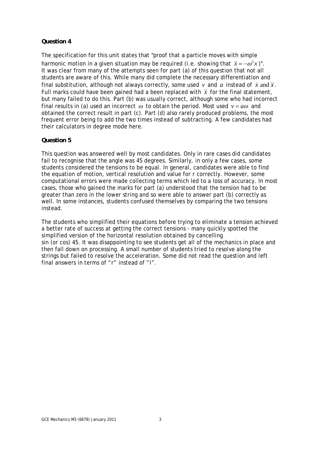## **Question 4**

The specification for this unit states that "proof that a particle moves with simple harmonic motion in a given situation may be required (i.e. showing that  $\ddot{x} = -\omega^2 x$ )". It was clear from many of the attempts seen for part (a) of this question that not all students are aware of this. While many did complete the necessary differentiation and final substitution, although not always correctly, some used  $v$  and  $a$  instead of  $\dot{x}$  and  $\ddot{x}$ . Full marks could have been gained had *a* been replaced with *x* for the final statement, but many failed to do this. Part (b) was usually correct, although some who had incorrect final results in (a) used an incorrect  $\omega$  to obtain the period. Most used  $v = a\omega$  and obtained the correct result in part (c). Part (d) also rarely produced problems, the most frequent error being to add the two times instead of subtracting. A few candidates had their calculators in degree mode here.

# **Question 5**

This question was answered well by most candidates. Only in rare cases did candidates fail to recognise that the angle was 45 degrees. Similarly, in only a few cases, some students considered the tensions to be equal. In general, candidates were able to find the equation of motion, vertical resolution and value for *r* correctly. However, some computational errors were made collecting terms which led to a loss of accuracy. In most cases, those who gained the marks for part (a) understood that the tension had to be greater than zero in the lower string and so were able to answer part (b) correctly as well. In some instances, students confused themselves by comparing the two tensions instead.

The students who simplified their equations before trying to eliminate a tension achieved a better rate of success at getting the correct tensions - many quickly spotted the simplified version of the horizontal resolution obtained by cancelling sin (or cos) 45. It was disappointing to see students get all of the mechanics in place and then fall down on processing. A small number of students tried to resolve along the strings but failed to resolve the acceleration. Some did not read the question and left final answers in terms of "*r*" instead of "*l*".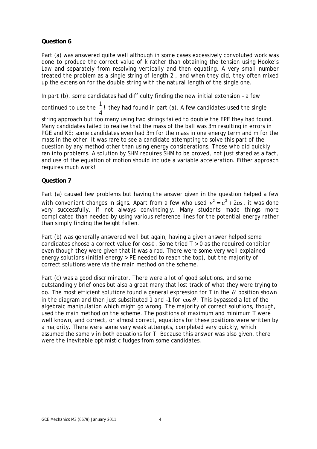# **Question 6**

Part (a) was answered quite well although in some cases excessively convoluted work was done to produce the correct value of *k* rather than obtaining the tension using Hooke's Law and separately from resolving vertically and then equating. A very small number treated the problem as a single string of length 2*l*, and when they did, they often mixed up the extension for the double string with the natural length of the single one.

In part (b), some candidates had difficulty finding the new initial extension – a few

continued to use the  $\frac{1}{1}$ 4 *l* they had found in part (a). A few candidates used the single string approach but too many using two strings failed to double the EPE they had found. Many candidates failed to realise that the mass of the ball was 3*m* resulting in errors in PGE and KE; some candidates even had 3*m* for the mass in one energy term and *m* for the mass in the other. It was rare to see a candidate attempting to solve this part of the question by any method other than using energy considerations. Those who did quickly ran into problems. A solution by SHM requires SHM to be proved, not just stated as a fact, and use of the equation of motion should include a variable acceleration. Either approach requires much work!

#### **Question 7**

Part (a) caused few problems but having the answer given in the question helped a few with convenient changes in signs. Apart from a few who used  $v^2 = u^2 + 2as$ , it was done very successfully, if not always convincingly. Many students made things more complicated than needed by using various reference lines for the potential energy rather than simply finding the height fallen.

Part (b) was generally answered well but again, having a given answer helped some candidates choose a correct value for  $\cos \theta$ . Some tried  $T > 0$  as the required condition even though they were given that it was a rod. There were some very well explained energy solutions (initial energy > PE needed to reach the top), but the majority of correct solutions were via the main method on the scheme.

Part (c) was a good discriminator. There were a lot of good solutions, and some outstandingly brief ones but also a great many that lost track of what they were trying to do. The most efficient solutions found a general expression for  $T$  in the  $\theta$  position shown in the diagram and then just substituted 1 and -1 for  $\cos\theta$ . This bypassed a lot of the algebraic manipulation which might go wrong. The majority of correct solutions, though, used the main method on the scheme. The positions of maximum and minimum *T* were well known, and correct, or almost correct, equations for these positions were written by a majority. There were some very weak attempts, completed very quickly, which assumed the same *v* in both equations for *T*. Because this answer was also given, there were the inevitable optimistic fudges from some candidates.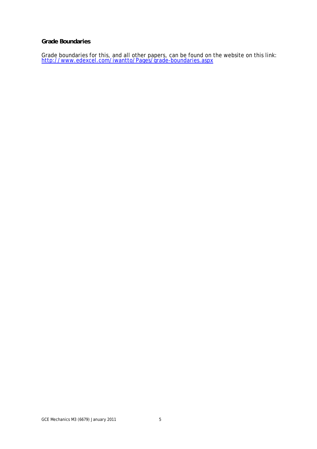#### **Grade Boundaries**

Grade boundaries for this, and all other papers, can be found on the website on this link: http://www.edexcel.com/iwantto/Pages/grade-boundaries.aspx